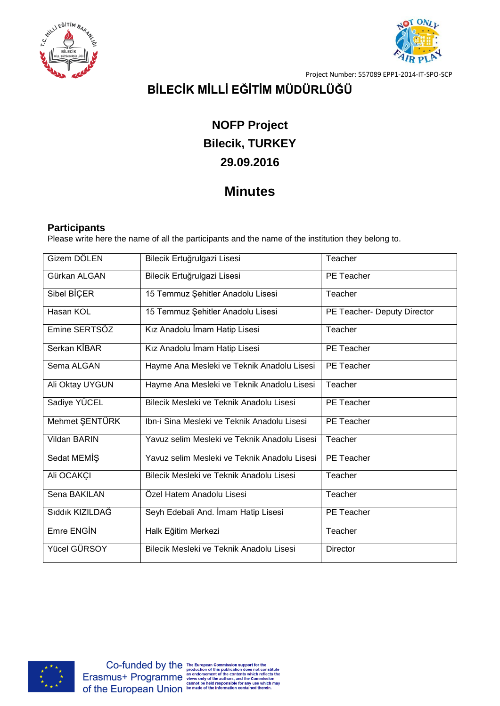



Project Number: 557089 EPP1-2014-IT-SPO-SCP

# **BİLECİK MİLLİ EĞİTİM MÜDÜRLÜĞÜ**

# **NOFP Project Bilecik, TURKEY 29.09.2016**

## **Minutes**

## **Participants**

Please write here the name of all the participants and the name of the institution they belong to.

| Gizem DÖLEN     | Bilecik Ertuğrulgazi Lisesi                  | Teacher                     |
|-----------------|----------------------------------------------|-----------------------------|
| Gürkan ALGAN    | Bilecik Ertuğrulgazi Lisesi                  | PE Teacher                  |
| Sibel BİÇER     | 15 Temmuz Şehitler Anadolu Lisesi            | Teacher                     |
| Hasan KOL       | 15 Temmuz Şehitler Anadolu Lisesi            | PE Teacher- Deputy Director |
| Emine SERTSÖZ   | Kız Anadolu İmam Hatip Lisesi                | Teacher                     |
| Serkan KİBAR    | Kız Anadolu İmam Hatip Lisesi                | PE Teacher                  |
| Sema ALGAN      | Hayme Ana Mesleki ve Teknik Anadolu Lisesi   | <b>PE</b> Teacher           |
| Ali Oktay UYGUN | Hayme Ana Mesleki ve Teknik Anadolu Lisesi   | Teacher                     |
| Sadiye YÜCEL    | Bilecik Mesleki ve Teknik Anadolu Lisesi     | PE Teacher                  |
| Mehmet ŞENTÜRK  | Ibn-i Sina Mesleki ve Teknik Anadolu Lisesi  | PE Teacher                  |
| Vildan BARIN    | Yavuz selim Mesleki ve Teknik Anadolu Lisesi | Teacher                     |
| Sedat MEMIŞ     | Yavuz selim Mesleki ve Teknik Anadolu Lisesi | PE Teacher                  |
| Ali OCAKÇI      | Bilecik Mesleki ve Teknik Anadolu Lisesi     | Teacher                     |
| Sena BAKILAN    | Özel Hatem Anadolu Lisesi                    | Teacher                     |
| Siddik KIZILDAĞ | Seyh Edebali And. İmam Hatip Lisesi          | PE Teacher                  |
| Emre ENGIN      | Halk Eğitim Merkezi                          | Teacher                     |
| Yücel GÜRSOY    | Bilecik Mesleki ve Teknik Anadolu Lisesi     | Director                    |

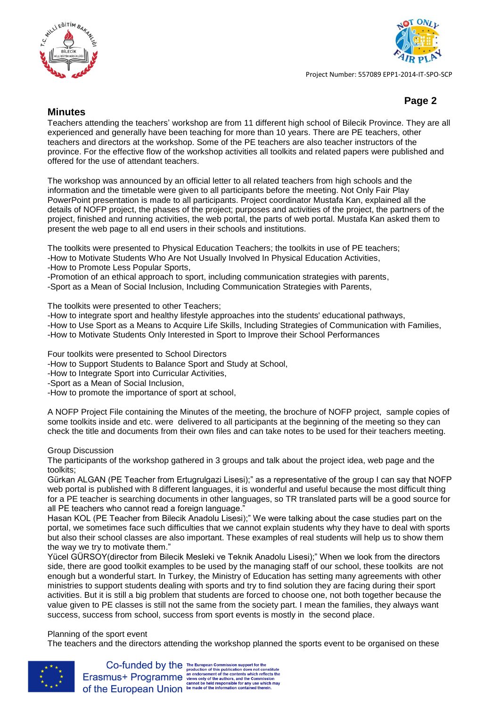



Project Number: 557089 EPP1-2014-IT-SPO-SCP

## **Page 2**

### **Minutes**

Teachers attending the teachers' workshop are from 11 different high school of Bilecik Province. They are all experienced and generally have been teaching for more than 10 years. There are PE teachers, other teachers and directors at the workshop. Some of the PE teachers are also teacher instructors of the province. For the effective flow of the workshop activities all toolkits and related papers were published and offered for the use of attendant teachers.

The workshop was announced by an official letter to all related teachers from high schools and the information and the timetable were given to all participants before the meeting. Not Only Fair Play PowerPoint presentation is made to all participants. Project coordinator Mustafa Kan, explained all the details of NOFP project, the phases of the project; purposes and activities of the project, the partners of the project, finished and running activities, the web portal, the parts of web portal. Mustafa Kan asked them to present the web page to all end users in their schools and institutions.

The toolkits were presented to Physical Education Teachers; the toolkits in use of PE teachers;

- -How to Motivate Students Who Are Not Usually Involved In Physical Education Activities,
- -How to Promote Less Popular Sports,
- -Promotion of an ethical approach to sport, including communication strategies with parents,

-Sport as a Mean of Social Inclusion, Including Communication Strategies with Parents,

The toolkits were presented to other Teachers;

- -How to integrate sport and healthy lifestyle approaches into the students' educational pathways,
- -How to Use Sport as a Means to Acquire Life Skills, Including Strategies of Communication with Families,
- -How to Motivate Students Only Interested in Sport to Improve their School Performances

Four toolkits were presented to School Directors

- -How to Support Students to Balance Sport and Study at School,
- -How to Integrate Sport into Curricular Activities,
- -Sport as a Mean of Social Inclusion,
- -How to promote the importance of sport at school,

A NOFP Project File containing the Minutes of the meeting, the brochure of NOFP project, sample copies of some toolkits inside and etc. were delivered to all participants at the beginning of the meeting so they can check the title and documents from their own files and can take notes to be used for their teachers meeting.

#### Group Discussion

The participants of the workshop gathered in 3 groups and talk about the project idea, web page and the toolkits;

Gürkan ALGAN (PE Teacher from Ertugrulgazi Lisesi);" as a representative of the group I can say that NOFP web portal is published with 8 different languages, it is wonderful and useful because the most difficult thing for a PE teacher is searching documents in other languages, so TR translated parts will be a good source for all PE teachers who cannot read a foreign language."

Hasan KOL (PE Teacher from Bilecik Anadolu Lisesi);" We were talking about the case studies part on the portal, we sometimes face such difficulties that we cannot explain students why they have to deal with sports but also their school classes are also important. These examples of real students will help us to show them the way we try to motivate them."

Yücel GÜRSOY(director from Bilecik Mesleki ve Teknik Anadolu Lisesi);" When we look from the directors side, there are good toolkit examples to be used by the managing staff of our school, these toolkits are not enough but a wonderful start. In Turkey, the Ministry of Education has setting many agreements with other ministries to support students dealing with sports and try to find solution they are facing during their sport activities. But it is still a big problem that students are forced to choose one, not both together because the value given to PE classes is still not the same from the society part. I mean the families, they always want success, success from school, success from sport events is mostly in the second place.

## Planning of the sport event

The teachers and the directors attending the workshop planned the sports event to be organised on these